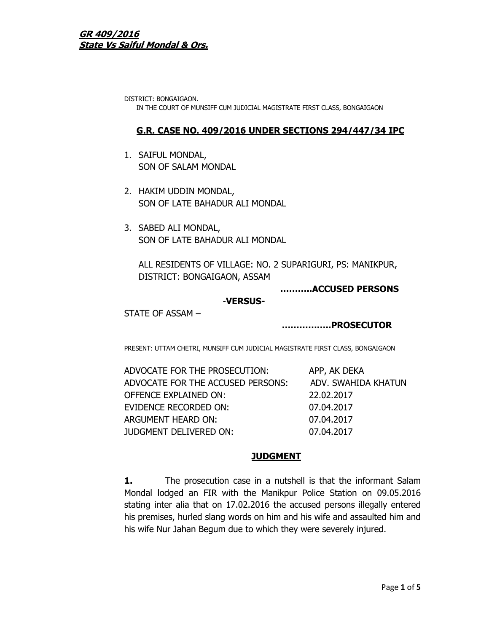DISTRICT: BONGAIGAON.

IN THE COURT OF MUNSIFF CUM JUDICIAL MAGISTRATE FIRST CLASS, BONGAIGAON

#### **G.R. CASE NO. 409/2016 UNDER SECTIONS 294/447/34 IPC**

- 1. SAIFUL MONDAL, SON OF SALAM MONDAL
- 2. HAKIM UDDIN MONDAL, SON OF LATE BAHADUR ALI MONDAL
- 3. SABED ALI MONDAL, SON OF LATE BAHADUR ALI MONDAL

ALL RESIDENTS OF VILLAGE: NO. 2 SUPARIGURI, PS: MANIKPUR, DISTRICT: BONGAIGAON, ASSAM

**………..ACCUSED PERSONS**

# -**VERSUS-**

STATE OF ASSAM –

# **……………..PROSECUTOR**

PRESENT: UTTAM CHETRI, MUNSIFF CUM JUDICIAL MAGISTRATE FIRST CLASS, BONGAIGAON

| ADVOCATE FOR THE PROSECUTION:     | APP, AK DEKA        |
|-----------------------------------|---------------------|
| ADVOCATE FOR THE ACCUSED PERSONS: | ADV. SWAHIDA KHATUN |
| OFFENCE EXPLAINED ON:             | 22.02.2017          |
| EVIDENCE RECORDED ON:             | 07.04.2017          |
| ARGUMENT HEARD ON:                | 07.04.2017          |
| JUDGMENT DELIVERED ON:            | 07.04.2017          |

# **JUDGMENT**

**1.** The prosecution case in a nutshell is that the informant Salam Mondal lodged an FIR with the Manikpur Police Station on 09.05.2016 stating inter alia that on 17.02.2016 the accused persons illegally entered his premises, hurled slang words on him and his wife and assaulted him and his wife Nur Jahan Begum due to which they were severely injured.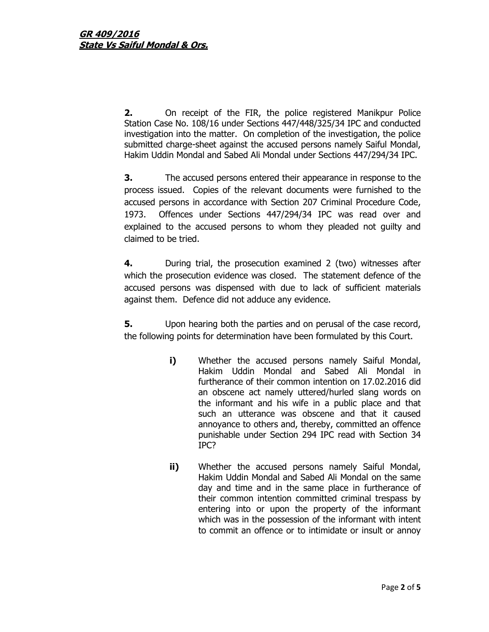**2.** On receipt of the FIR, the police registered Manikpur Police Station Case No. 108/16 under Sections 447/448/325/34 IPC and conducted investigation into the matter. On completion of the investigation, the police submitted charge-sheet against the accused persons namely Saiful Mondal, Hakim Uddin Mondal and Sabed Ali Mondal under Sections 447/294/34 IPC.

**3.** The accused persons entered their appearance in response to the process issued. Copies of the relevant documents were furnished to the accused persons in accordance with Section 207 Criminal Procedure Code, 1973. Offences under Sections 447/294/34 IPC was read over and explained to the accused persons to whom they pleaded not guilty and claimed to be tried.

**4.** During trial, the prosecution examined 2 (two) witnesses after which the prosecution evidence was closed. The statement defence of the accused persons was dispensed with due to lack of sufficient materials against them. Defence did not adduce any evidence.

**5.** Upon hearing both the parties and on perusal of the case record, the following points for determination have been formulated by this Court.

- **i)** Whether the accused persons namely Saiful Mondal, Hakim Uddin Mondal and Sabed Ali Mondal in furtherance of their common intention on 17.02.2016 did an obscene act namely uttered/hurled slang words on the informant and his wife in a public place and that such an utterance was obscene and that it caused annoyance to others and, thereby, committed an offence punishable under Section 294 IPC read with Section 34 IPC?
- **ii)** Whether the accused persons namely Saiful Mondal, Hakim Uddin Mondal and Sabed Ali Mondal on the same day and time and in the same place in furtherance of their common intention committed criminal trespass by entering into or upon the property of the informant which was in the possession of the informant with intent to commit an offence or to intimidate or insult or annoy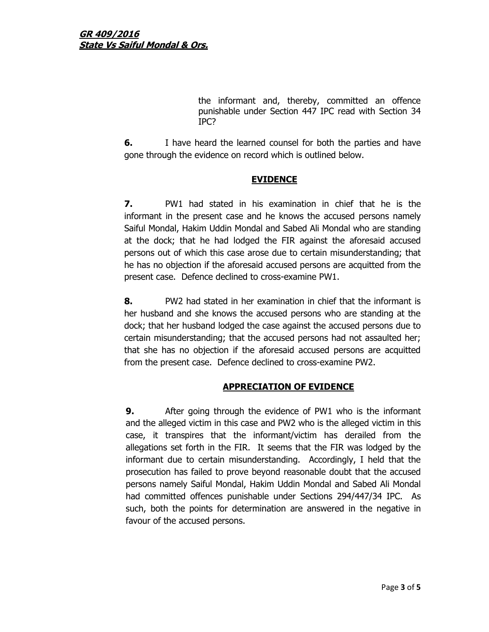the informant and, thereby, committed an offence punishable under Section 447 IPC read with Section 34 IPC?

**6.** I have heard the learned counsel for both the parties and have gone through the evidence on record which is outlined below.

# **EVIDENCE**

**7.** PW1 had stated in his examination in chief that he is the informant in the present case and he knows the accused persons namely Saiful Mondal, Hakim Uddin Mondal and Sabed Ali Mondal who are standing at the dock; that he had lodged the FIR against the aforesaid accused persons out of which this case arose due to certain misunderstanding; that he has no objection if the aforesaid accused persons are acquitted from the present case. Defence declined to cross-examine PW1.

**8.** PW2 had stated in her examination in chief that the informant is her husband and she knows the accused persons who are standing at the dock; that her husband lodged the case against the accused persons due to certain misunderstanding; that the accused persons had not assaulted her; that she has no objection if the aforesaid accused persons are acquitted from the present case. Defence declined to cross-examine PW2.

# **APPRECIATION OF EVIDENCE**

**9.** After going through the evidence of PW1 who is the informant and the alleged victim in this case and PW2 who is the alleged victim in this case, it transpires that the informant/victim has derailed from the allegations set forth in the FIR. It seems that the FIR was lodged by the informant due to certain misunderstanding. Accordingly, I held that the prosecution has failed to prove beyond reasonable doubt that the accused persons namely Saiful Mondal, Hakim Uddin Mondal and Sabed Ali Mondal had committed offences punishable under Sections 294/447/34 IPC. As such, both the points for determination are answered in the negative in favour of the accused persons.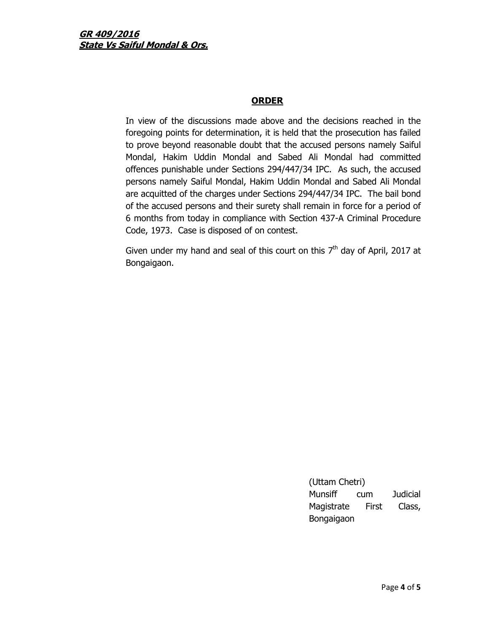# **ORDER**

In view of the discussions made above and the decisions reached in the foregoing points for determination, it is held that the prosecution has failed to prove beyond reasonable doubt that the accused persons namely Saiful Mondal, Hakim Uddin Mondal and Sabed Ali Mondal had committed offences punishable under Sections 294/447/34 IPC. As such, the accused persons namely Saiful Mondal, Hakim Uddin Mondal and Sabed Ali Mondal are acquitted of the charges under Sections 294/447/34 IPC. The bail bond of the accused persons and their surety shall remain in force for a period of 6 months from today in compliance with Section 437-A Criminal Procedure Code, 1973. Case is disposed of on contest.

Given under my hand and seal of this court on this  $7<sup>th</sup>$  day of April, 2017 at Bongaigaon.

> (Uttam Chetri) Munsiff cum Judicial Magistrate First Class, Bongaigaon